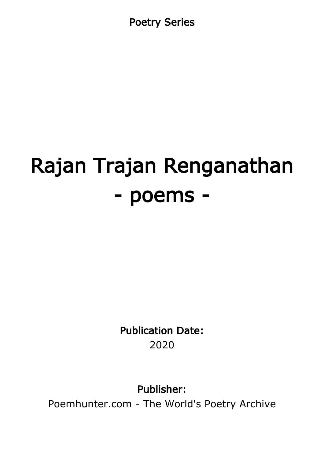Poetry Series

# Rajan Trajan Renganathan - poems -

Publication Date: 2020

Publisher:

Poemhunter.com - The World's Poetry Archive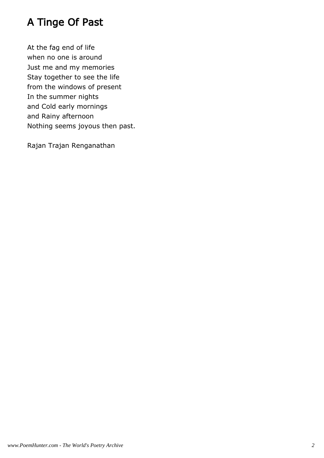# A Tinge Of Past

At the fag end of life when no one is around Just me and my memories Stay together to see the life from the windows of present In the summer nights and Cold early mornings and Rainy afternoon Nothing seems joyous then past.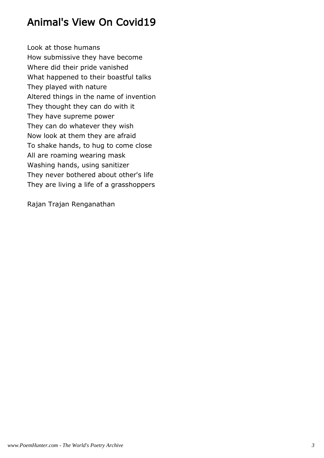# Animal's View On Covid19

Look at those humans How submissive they have become Where did their pride vanished What happened to their boastful talks They played with nature Altered things in the name of invention They thought they can do with it They have supreme power They can do whatever they wish Now look at them they are afraid To shake hands, to hug to come close All are roaming wearing mask Washing hands, using sanitizer They never bothered about other's life They are living a life of a grasshoppers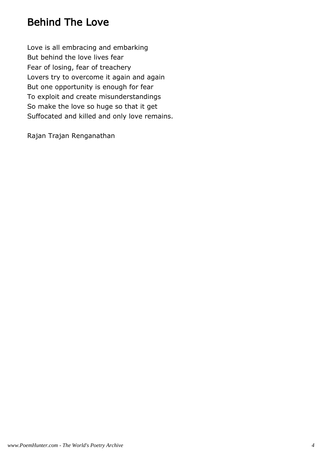# Behind The Love

Love is all embracing and embarking But behind the love lives fear Fear of losing, fear of treachery Lovers try to overcome it again and again But one opportunity is enough for fear To exploit and create misunderstandings So make the love so huge so that it get Suffocated and killed and only love remains.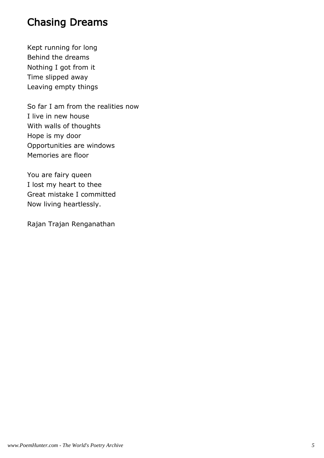#### Chasing Dreams

Kept running for long Behind the dreams Nothing I got from it Time slipped away Leaving empty things

So far I am from the realities now I live in new house With walls of thoughts Hope is my door Opportunities are windows Memories are floor

You are fairy queen I lost my heart to thee Great mistake I committed Now living heartlessly.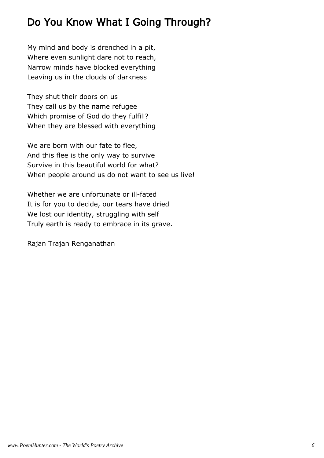# Do You Know What I Going Through?

My mind and body is drenched in a pit, Where even sunlight dare not to reach, Narrow minds have blocked everything Leaving us in the clouds of darkness

They shut their doors on us They call us by the name refugee Which promise of God do they fulfill? When they are blessed with everything

We are born with our fate to flee, And this flee is the only way to survive Survive in this beautiful world for what? When people around us do not want to see us live!

Whether we are unfortunate or ill-fated It is for you to decide, our tears have dried We lost our identity, struggling with self Truly earth is ready to embrace in its grave.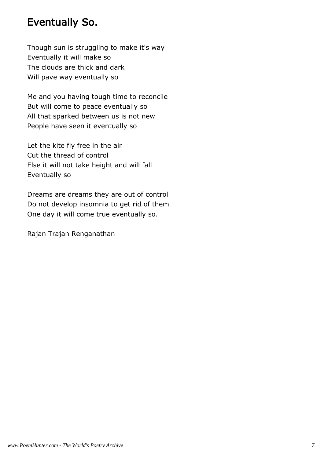#### Eventually So.

Though sun is struggling to make it's way Eventually it will make so The clouds are thick and dark Will pave way eventually so

Me and you having tough time to reconcile But will come to peace eventually so All that sparked between us is not new People have seen it eventually so

Let the kite fly free in the air Cut the thread of control Else it will not take height and will fall Eventually so

Dreams are dreams they are out of control Do not develop insomnia to get rid of them One day it will come true eventually so.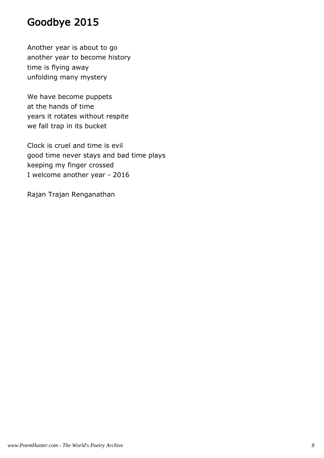### Goodbye 2015

Another year is about to go another year to become history time is flying away unfolding many mystery

We have become puppets at the hands of time years it rotates without respite we fall trap in its bucket

Clock is cruel and time is evil good time never stays and bad time plays keeping my finger crossed I welcome another year - 2016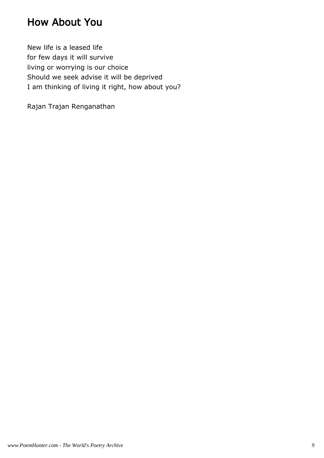#### How About You

New life is a leased life for few days it will survive living or worrying is our choice Should we seek advise it will be deprived I am thinking of living it right, how about you?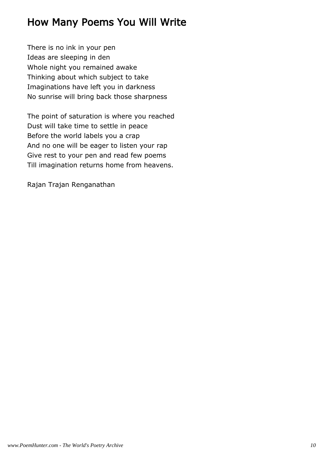# How Many Poems You Will Write

There is no ink in your pen Ideas are sleeping in den Whole night you remained awake Thinking about which subject to take Imaginations have left you in darkness No sunrise will bring back those sharpness

The point of saturation is where you reached Dust will take time to settle in peace Before the world labels you a crap And no one will be eager to listen your rap Give rest to your pen and read few poems Till imagination returns home from heavens.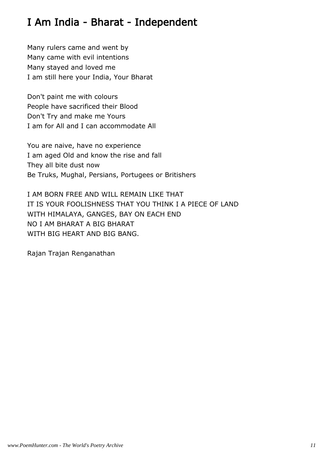# I Am India - Bharat - Independent

Many rulers came and went by Many came with evil intentions Many stayed and loved me I am still here your India, Your Bharat

Don't paint me with colours People have sacrificed their Blood Don't Try and make me Yours I am for All and I can accommodate All

You are naive, have no experience I am aged Old and know the rise and fall They all bite dust now Be Truks, Mughal, Persians, Portugees or Britishers

I AM BORN FREE AND WILL REMAIN LIKE THAT IT IS YOUR FOOLISHNESS THAT YOU THINK I A PIECE OF LAND WITH HIMALAYA, GANGES, BAY ON EACH END NO I AM BHARAT A BIG BHARAT WITH BIG HEART AND BIG BANG.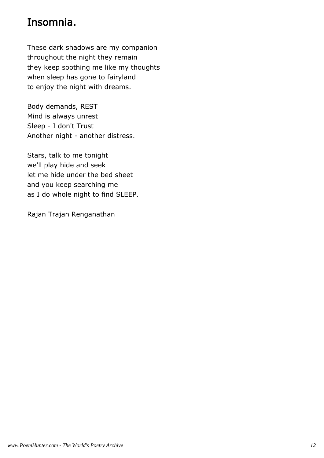# Insomnia.

These dark shadows are my companion throughout the night they remain they keep soothing me like my thoughts when sleep has gone to fairyland to enjoy the night with dreams.

Body demands, REST Mind is always unrest Sleep - I don't Trust Another night - another distress.

Stars, talk to me tonight we'll play hide and seek let me hide under the bed sheet and you keep searching me as I do whole night to find SLEEP.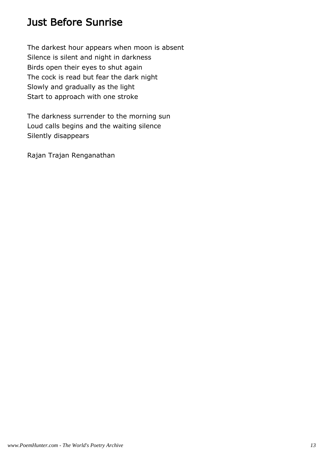# Just Before Sunrise

The darkest hour appears when moon is absent Silence is silent and night in darkness Birds open their eyes to shut again The cock is read but fear the dark night Slowly and gradually as the light Start to approach with one stroke

The darkness surrender to the morning sun Loud calls begins and the waiting silence Silently disappears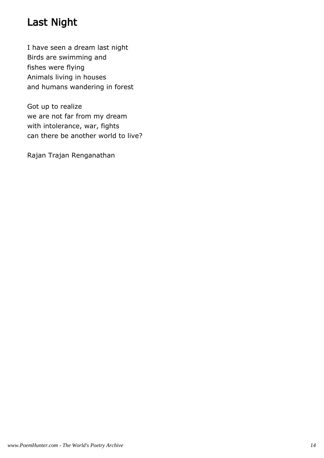# Last Night

I have seen a dream last night Birds are swimming and fishes were flying Animals living in houses and humans wandering in forest

Got up to realize we are not far from my dream with intolerance, war, fights can there be another world to live?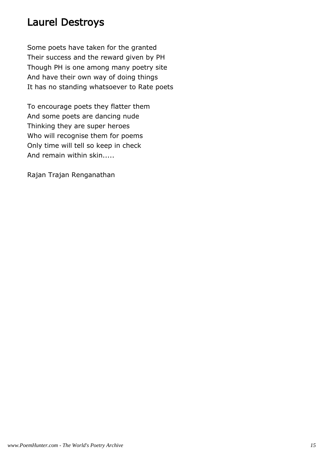#### Laurel Destroys

Some poets have taken for the granted Their success and the reward given by PH Though PH is one among many poetry site And have their own way of doing things It has no standing whatsoever to Rate poets

To encourage poets they flatter them And some poets are dancing nude Thinking they are super heroes Who will recognise them for poems Only time will tell so keep in check And remain within skin.....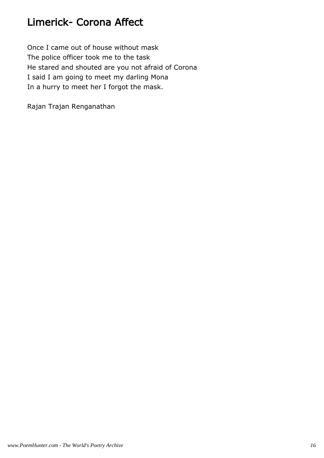# Limerick- Corona Affect

Once I came out of house without mask The police officer took me to the task He stared and shouted are you not afraid of Corona I said I am going to meet my darling Mona In a hurry to meet her I forgot the mask.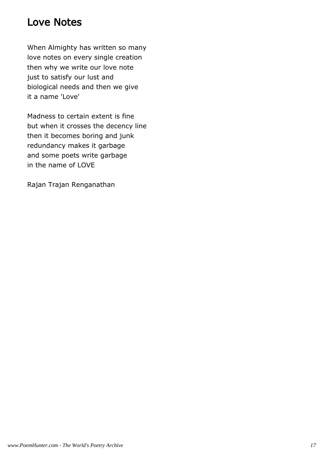#### Love Notes

When Almighty has written so many love notes on every single creation then why we write our love note just to satisfy our lust and biological needs and then we give it a name 'Love'

Madness to certain extent is fine but when it crosses the decency line then it becomes boring and junk redundancy makes it garbage and some poets write garbage in the name of LOVE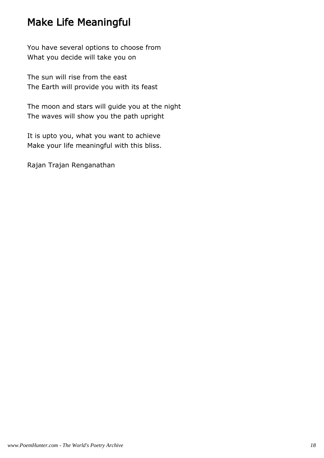#### Make Life Meaningful

You have several options to choose from What you decide will take you on

The sun will rise from the east The Earth will provide you with its feast

The moon and stars will guide you at the night The waves will show you the path upright

It is upto you, what you want to achieve Make your life meaningful with this bliss.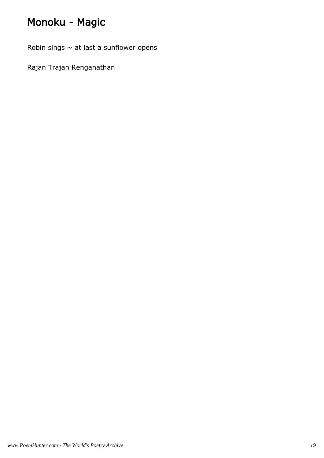# Monoku - Magic

Robin sings  $\sim$  at last a sunflower opens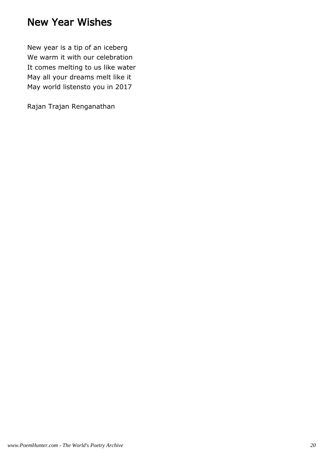#### New Year Wishes

New year is a tip of an iceberg We warm it with our celebration It comes melting to us like water May all your dreams melt like it May world listensto you in 2017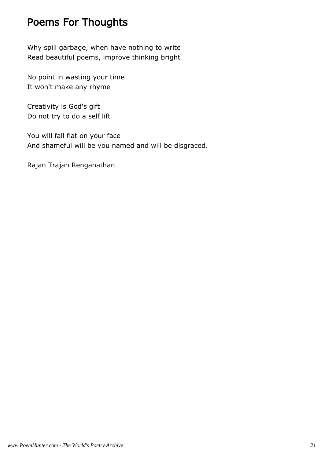# Poems For Thoughts

Why spill garbage, when have nothing to write Read beautiful poems, improve thinking bright

No point in wasting your time It won't make any rhyme

Creativity is God's gift Do not try to do a self lift

You will fall flat on your face And shameful will be you named and will be disgraced.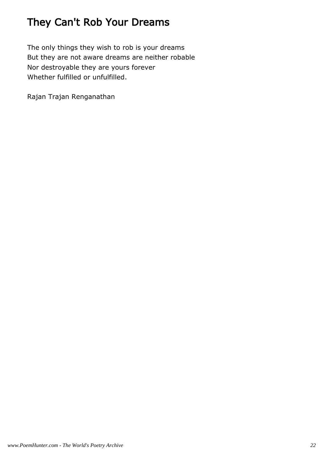# They Can't Rob Your Dreams

The only things they wish to rob is your dreams But they are not aware dreams are neither robable Nor destroyable they are yours forever Whether fulfilled or unfulfilled.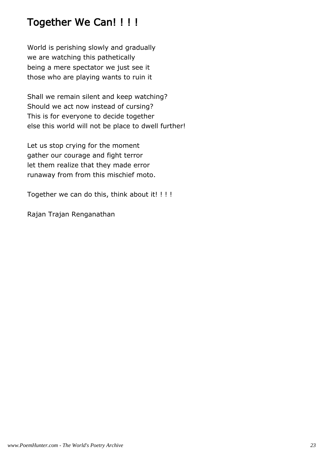#### Together We Can! ! ! !

World is perishing slowly and gradually we are watching this pathetically being a mere spectator we just see it those who are playing wants to ruin it

Shall we remain silent and keep watching? Should we act now instead of cursing? This is for everyone to decide together else this world will not be place to dwell further!

Let us stop crying for the moment gather our courage and fight terror let them realize that they made error runaway from from this mischief moto.

Together we can do this, think about it! ! ! !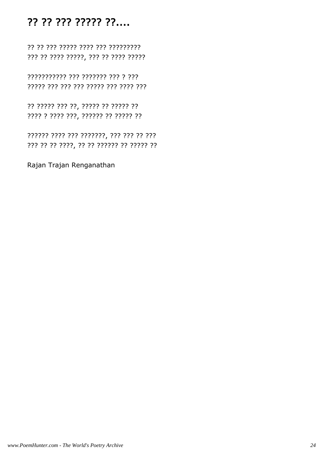#### ?? ?? ??? ????? ??....

?? ?? ??? ???? ???? ??? ?????????? ??? ?? ???? ?????, ??? ?? ???? ?????

??????????? ??? ??????? ??? ? ??? ????? ??? ??? ??? ????? ??? ???? ???

?? ????? ?? ??, ????? ?? ????? ?? ???? ? ???? ???, ?????? ?? ????? ??

??? ?? ?? ????, ?? ?? ?????? ?? ????? ??